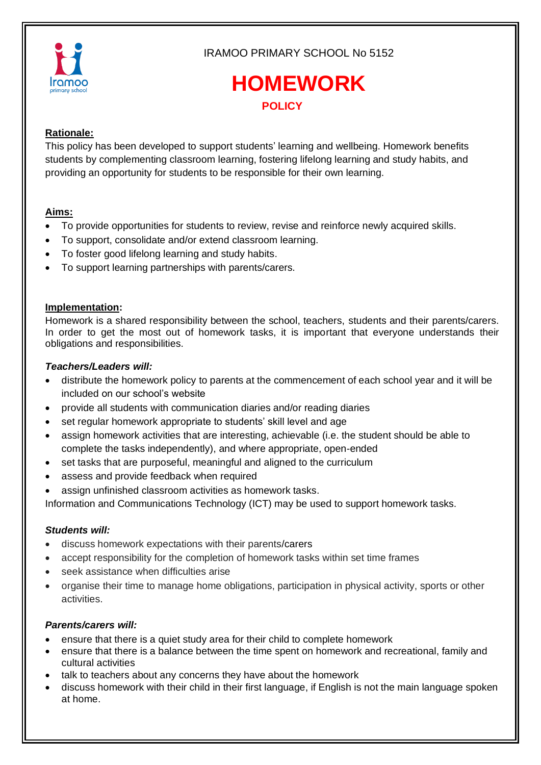

IRAMOO PRIMARY SCHOOL No 5152

# **HOMEWORK POLICY**

# **Rationale:**

This policy has been developed to support students' learning and wellbeing. Homework benefits students by complementing classroom learning, fostering lifelong learning and study habits, and providing an opportunity for students to be responsible for their own learning.

## **Aims:**

- To provide opportunities for students to review, revise and reinforce newly acquired skills.
- To support, consolidate and/or extend classroom learning.
- To foster good lifelong learning and study habits.
- To support learning partnerships with parents/carers.

#### **Implementation:**

Homework is a shared responsibility between the school, teachers, students and their parents/carers. In order to get the most out of homework tasks, it is important that everyone understands their obligations and responsibilities.

#### *Teachers/Leaders will:*

- distribute the homework policy to parents at the commencement of each school year and it will be included on our school's website
- provide all students with communication diaries and/or reading diaries
- set regular homework appropriate to students' skill level and age
- assign homework activities that are interesting, achievable (i.e. the student should be able to complete the tasks independently), and where appropriate, open-ended
- set tasks that are purposeful, meaningful and aligned to the curriculum
- assess and provide feedback when required
- assign unfinished classroom activities as homework tasks.

Information and Communications Technology (ICT) may be used to support homework tasks.

#### *Students will:*

- discuss homework expectations with their parents/carers
- accept responsibility for the completion of homework tasks within set time frames
- seek assistance when difficulties arise
- organise their time to manage home obligations, participation in physical activity, sports or other activities.

#### *Parents/carers will:*

- ensure that there is a quiet study area for their child to complete homework
- ensure that there is a balance between the time spent on homework and recreational, family and cultural activities
- talk to teachers about any concerns they have about the homework
- discuss homework with their child in their first language, if English is not the main language spoken at home.